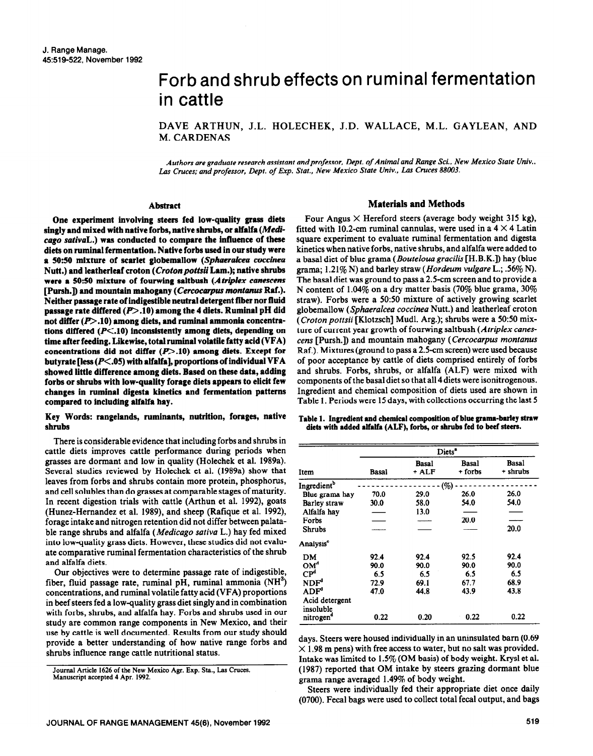# Forb and shrub effects on ruminal fermentation in cattle

DAVE ARTHUN, J.L. HOLECHEK, J.D. WALLACE, M.L. GAYLEAN, AND M. CARDENAS

*Authors are graduate research assistant andprofessor, Dept. of Animal and Range Sci.. New Mexico State Univ.,*  Las Cruces; and professor, Dept. of Exp. Stat., New Mexico State Univ., Las Cruces 88003.

# **Abstract**

**One experiment involving steers fed low-quality grass diets singly and mixed with native forbs, native shrubs, or alfalfa** *(Medicage* **sorival.) was conducted to compare the influence of these diets on ruminal fermentation. Native forbs used in our study were a 5050 mixture of scarlet globemallow (Splureralcea** *coccinea*  **Nutt.)** and leatherleaf croton (Croton pottsii Lam.); native shrubs were a 50:50 mixture of fourwing saltbush (Atriplex canescens **[Pursh.D and mountain mahogany (Cercocurpus** *montanus* **Raf.). Neither passage rate of indigestible neutral detergent fiber nor fluid passage rate differed (p>.lO) among the 4 diets. Ruminal pH did**  not differ (P>.10) among diets, and ruminal ammonia concentra**tions differed (P<.lO) inconsistently among diets, depending on**  time after feeding. Likewise, total ruminal volatile fatty acid (VFA) concentrations did not differ (P>.10) among diets. Except for **butyrate [less (P<.O5) with alfalfa], proportions of individual VFA showed little difference among diets. Based on these data, adding forbs or shrubs with low-quality forage diets appears to elicit few changes in ruminal digesta kinetics and fermentation patterns compared to including alfalfa hay.** 

# **Key Words: rangelands, ruminants, nutrition, forages, native shrubs**

There is considerable evidence that including forbs and shrubs in cattle diets improves cattle performance during periods when grasses are dormant and low in quality (Holechek et al. 1989a). Several studies reviewed by Holechek et al. (1989a) show that leaves from forbs and shrubs contain more protein, phosphorus, and cell solubles than do grasses at comparable stages of maturity. In recent digestion trials with cattle (Arthun et al. 1992), goats (Hunez-Hemandez et al. 1989), and sheep (Rafique et al. 1992), forage intake and nitrogen retention did not differ between palatable range shrubs and alfalfa *(Medicago sativa L.)* hay fed mixed into low-quality grass diets. However, these studies did not evaluate comparative ruminal fermentation characteristics of the shrub and alfalfa diets.

Our objectives were to determine passage rate of indigestible, fiber, fluid passage rate, ruminal pH, ruminal ammonia  $(NH<sup>3</sup>)$ concentrations, and ruminal volatile fatty acid (VFA) proportions in beef steers fed a low-quality grass diet singly and in combination with forbs, shrubs, and alfalfa hay. Forbs and shrubs used in our study are common range components in New Mexico, and their use by cattle is well documented. Results from our study should provide a better understanding of how native range forbs and shrubs influence range cattle nutritional status.

# **Materials and Methods**

Four Angus  $\times$  Hereford steers (average body weight 315 kg), fitted with 10.2-cm ruminal cannulas, were used in a  $4 \times 4$  Latin square experiment to evaluate ruminal fermentation and digesta kinetics when native forbs, native shrubs, and alfalfa were added to a basal diet of blue grama (Boufeloua *grucilis* [H.B.K.]) hay (blue grama; 1.21% N) and barley straw *(Hordeum vulgare L.*; .56% N). The basal diet was ground to pass a 2.5-cm screen and to provide a N content of 1.04% on a dry matter basis (70% blue grama, 30% straw). Forbs were a 50:50 mixture of actively growing scarlet globemallow *(Sphuerulceu coccineu* Nutt.) and leatherleaf croton *(Croton pottsii* [Klotzsch] Mudl. Arg.); shrubs were a 50:50 mixture of current year growth of fourwing saltbush *(Atriplex cunes*tens [Pursh.]) and mountain mahogany *(Cercocurpus montunus*  Raf.). Mixtures (ground to pass a 2.5-cm screen) were used because of poor acceptance by cattle of diets comprised entirely of forbs and shrubs. Forbs, shrubs, or alfalfa (ALF) were mixed with components of the basal diet so that all 4 diets were isonitrogenous. Ingredient and chemical composition of diets **used are shown in Table 1. Periods were 15 days, with collections occurring the last 5** 

|  |  | Table 1. Ingredient and chemical composition of blue grama-barley straw |
|--|--|-------------------------------------------------------------------------|
|  |  | diets with added alfalfa (ALF), forbs, or shrubs fed to beef steers.    |

|                             | Diets <sup>"</sup> |                |                  |                   |  |  |
|-----------------------------|--------------------|----------------|------------------|-------------------|--|--|
| Item                        | Basal              | Basal<br>+ ALF | Basal<br>+ forbs | Basal<br>+ shrubs |  |  |
| Ingredient <sup>b</sup>     |                    |                | (%)              |                   |  |  |
| Blue grama hay              | 70.0               | 29.0           | 26.0             | 26.0              |  |  |
| Barley straw                | 30.0               | 58.0           | 54.0             | 54.0              |  |  |
| Alfalfa hav                 |                    | 13.0           |                  |                   |  |  |
| Forbs                       |                    |                | 20.0             |                   |  |  |
| <b>Shrubs</b>               |                    |                |                  | 20.0              |  |  |
| Analysis <sup>e</sup>       |                    |                |                  |                   |  |  |
| DM                          | 92.4               | 92.4           | 92.5             | 92.4              |  |  |
| OM <sup>d</sup>             | 90.0               | 90.0           | 90.0             | 90.0              |  |  |
| $\mathbf{CP}^d$             | 6.5                | 6.5            | 6.5              | 6.5               |  |  |
| NDF <sup>d</sup>            | 72.9               | 69.1           | 67.7             | 68.9              |  |  |
| ADF <sup>d</sup>            | 47.0               | 44.8           | 43.9             | 43.8              |  |  |
| Acid detergent<br>insoluble |                    |                |                  |                   |  |  |
| nitrogen <sup>d</sup>       | 0.22               | 0.20           | 0.22             | 0.22              |  |  |

days. Steers were housed individually in an uninsulated barn (0.69  $\times$  1.98 m pens) with free access to water, but no salt was provided. Intake was limited to 1.5% (OM basis) of body weight. Krysl et al. (1987) reported that OM intake by steers grazing dormant blue grama range averaged 1.49% of body weight.

Steers were individually fed their appropriate diet once daily (0700). Fecal bags were used to collect total fecal output, and bags

Journal Article 1626 of the New Mexico Agr. Exp. Sta., Las Cruces. **Manuscript accepted 4 Apr. 1592.**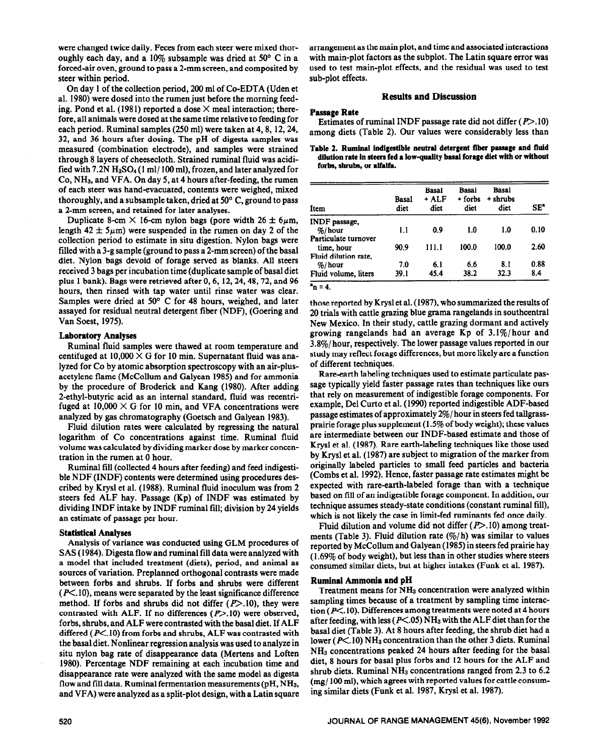were changed twice daily. Feces from each steer were mixed thor-<br>oughly each day, and a 10% subsample was dried at 50° C in a with main-plot factors as the subplot. The Latin square error was oughly each day, and a 10% subsample was dried at 50 $\degree$  C in a forced-air oven, ground to pass a 2-mm screen, and composited by used to test main-plot effects, and the residual was used to test steer within period. steer within period.

On day 1 of the collection period, 200 ml of Co-EDTA (Uden et al. 1980) were dosed into the rumen just before the morning feeding. Pond et al. (1981) reported a dose  $\times$  meal interaction; therefore, all animals were dosed at the same time relative to feeding for each period. Ruminal samples (250 ml) were taken at 4,8, 12,24, 32, and 36 hours after dosing. The pH of digesta samples was measured (combination electrode), and samples were strained through 8 layers of cheesecloth. Strained ruminal fluid was acidified with 7.2N  $H_2SO_4(1 \text{ ml}/100 \text{ ml})$ , frozen, and later analyzed for  $Co, NH<sub>3</sub>, and VFA. On day 5, at 4 hours after-feeding, the rumen$ of each steer was hand-evacuated, contents were weighed, mixed thoroughly, and a subsample taken, dried at 50° C, ground to pass a 2-mm screen, and retained for later analyses.

Duplicate 8-cm  $\times$  16-cm nylon bags (pore width 26  $\pm$  6 $\mu$ m, length  $42 \pm 5 \mu m$ ) were suspended in the rumen on day 2 of the collection period to estimate in situ digestion. Nylon bags were filled with a 3-g sample (ground to pass a 2-mm screen) of the basal diet. Nylon bags devoid of forage served as blanks. All steers received 3 bags per incubation time (duplicate sample of basal diet plus 1 bank). Bags were retrieved after 0,6, 12,24,48,72, and 96 hours, then rinsed with tap water until rinse water was clear. Samples were dried at 50° C for 48 hours, weighed, and later assayed for residual neutral detergent fiber (NDF), (Goering and Van Soest, 1975).

## **Laboratory Analyses**

Ruminal fluid samples were thawed at room temperature and centifuged at  $10,000 \times G$  for 10 min. Supernatant fluid was analyzed for Co by atomic absorption spectroscopy with an air-plusacetylene flame (McCollum and Galyean 1985) and for ammonia by the procedure of Broderick and Kang (1980). After adding 2-ethyl-butyric acid as an internal standard, fluid was recentrifuged at  $10,000 \times G$  for 10 min, and VFA concentrations were analyzed by gas chromatography (Goetsch and Galyean 1983).

Fluid dilution rates were calculated by regressing the natural logarithm of Co concentrations against time. Ruminal fluid volume was calculated by dividing marker dose by marker concentration in the rumen at 0 hour.

Ruminal fill (collected 4 hours after feeding) and feed indigestible NDF (INDF) contents were determined using procedures described by Krysl et al. (1988). Ruminal fluid inoculum was from 2 steers fed ALF hay. Passage (Kp) of INDF was estimated by dividing INDF intake by INDF ruminal fill; division by 24 yields an estimate of passage per hour.

#### **Statistical Analyses**

Analysis of variance was conducted using GLM procedures of SAS (1984). Digesta flow and ruminal fill data were analyzed with a model that included treatment (diets), period, and animal as sources of variation. Preplanned orthogonal contrasts were made between forbs and shrubs. If forbs and shrubs were different  $(P<.10)$ , means were separated by the least significance difference method. If forbs and shrubs did not differ  $(P>10)$ , they were contrasted with ALF. If no differences  $(P>10)$  were observed, forbs, shrubs, and ALF were contrasted with the basal diet. If ALF differed ( $P$ <.10) from forbs and shrubs, ALF was contrasted with the basal diet. Nonlinear regression analysis was used to analyze in situ nylon bag rate of disappearance data (Mertens and Loften 1980). Percentage NDF remaining at each incubation time and disappearance rate were analyzed with the same model as digesta flow and fill data. Ruminal fermentation measurements ( $\rm pH$ ,  $\rm NH_3$ , and VFA) were analyzed as a split-plot design, with a Latin square

#### **Results and Discussion**

#### **Passage Rate**

Estimates of ruminal INDF passage rate did not differ  $(P>10)$ among diets (Table 2). Our values were considerably less than

## **Table 2. Ruminai indigestible aeutrai detergent fiber passage and fiuid dilution rate in steers fed a iowquaiity basai** forage **diet with or without forbs, shrubs, or aifaifa.**

| Item                 | Basal<br>diet | <b>Basal</b><br>+ ALF<br>diet | Basal<br>+ forbs<br>diet | Basal<br>+ shrubs<br>diet | SE"  |
|----------------------|---------------|-------------------------------|--------------------------|---------------------------|------|
| INDF passage,        |               |                               |                          |                           |      |
| $%$ /hour            | 1.1           | 0.9                           | 1.0                      | 1.0                       | 0.10 |
| Particulate turnover |               |                               |                          |                           |      |
| time, hour           | 90.9          | 111.1                         | 100.0                    | 100.0                     | 2.60 |
| Fluid dilution rate, |               |                               |                          |                           |      |
| $%$ /hour            | 7.0           | 6.1                           | 6.6                      | 8.1                       | 0.88 |
| Fluid volume, liters | 39.1          | 45.4                          | 38.2                     | 32.3                      | 8.4  |

 $n = 4$ .

those reported by Krysl et al. (1987), who summarized the results of 20 trials with cattle grazing blue grama rangelands in southcentral New Mexico. In their study, cattle grazing dormant and actively growing rangelands had an average Kp of 3.l%/hour and 3.8%/hour, respectively. The lower passage values reported in our study may reflect forage differences, but more likely are a function of different techniques.

Rare-earth labeling techniques used to estimate particulate passage typically yield faster passage rates than techniques like ours that rely on measurement of indigestible forage components. For example, Del Curto et al. (1990) reported indigestible ADF-based passage estimates of approximately 2%/ hour in steers fed tallgrassprairie forage plus supplement (1.5% of body weight); these values are intermediate between our INDF-based estimate and those of Krysl et al. (1987). Rare earth-labeling techniques like those used by Krysl et al. (1987) are subject to migration of the marker from originally labeled particles to small feed particles and bacteria (Combs et al. 1992). Hence, faster passage rate estimates might be expected with rare-earth-labeled forage than with a technique based on fill of an indigestible forage component. In addition, our technique assumes steady-state conditions (constant ruminal fill), which is not likely the case in limit-fed ruminants fed once daily.

Fluid dilution and volume did not differ  $(P>10)$  among treatments (Table 3). Fluid dilution rate  $(\frac{m}{h})$  was similar to values reported by McCollum and Galyean (1985) in steers fed prairie hay (1.69% of body weight), but less than in other studies where steers consumed similar diets, but at higher intakes (Funk et al. 1987).

## **Ruminal Ammonia and pH**

Treatment means for NHs concentration were analyzed within sampling times because of a treatment by sampling time interaction ( $P<$ .10). Differences among treatments were noted at 4 hours after feeding, with less ( $P<.05$ ) NH<sub>3</sub> with the ALF diet than for the basal diet (Table 3). At 8 hours after feeding, the shrub diet had a lower ( $P \le 10$ ) NH<sub>3</sub> concentration than the other 3 diets. Ruminal NHs concentrations peaked 24 hours after feeding for the basal diet, 8 hours for basal plus forbs and 12 hours for the ALF and shrub diets. Ruminal  $NH<sub>3</sub>$  concentrations ranged from 2.3 to 6.2 (mg/ 100 ml), which agrees with reported values for cattle consuming similar diets (Funk et al. 1987, Krysl et al. 1987).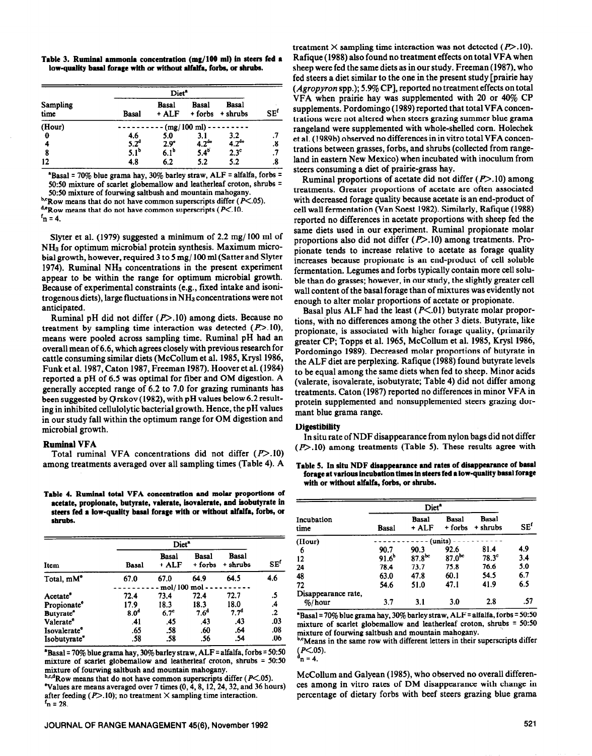**Table 3. Rumirul ammonia concentration (mg/lOO ml) in steers fed a low-quality basal forage with or witbout alfalfa, forbs, or shrubs.** 

|                  | Diet <sup>a</sup>       |                       |                         |                          |                            |
|------------------|-------------------------|-----------------------|-------------------------|--------------------------|----------------------------|
| Sampling<br>time | Basal                   | <b>Basal</b><br>+ ALF | <b>Basal</b><br>+ forbs | <b>Basal</b><br>+ shrubs | $\mathbf{SE}^{\mathbf{f}}$ |
| (Hour)           | $(mg/100 \text{ ml})$ - |                       |                         |                          |                            |
| 0                | 4.6                     | 5.0                   | 3.1                     | 3.2                      |                            |
|                  | $5.2^d$                 | $2.9^\circ$           | $4.2^{de}$              | 4.2 <sup>de</sup>        | .8                         |
| 8                | 5.1 <sup>b</sup>        | 6.1 <sup>b</sup>      | $5.4^{6}$               | 2.3 <sup>c</sup>         | .7                         |
| 12               | 4.8                     | 6.2                   | 5.2                     | 5.2                      | .8                         |

**\*Basal = 70% blue grama hay, 30% barley straw, ALF = alfalfa, forbs** <sup>q</sup> **50:50 mixture of scarlet globemallow and leatherleaf croton, shrubs =** 

**5050 mixture of fourwing saltbush and mountain mahogany. bcRow** means that do not have common superscripts differ (P<.05).

**d'Ro~ means that do not have common superscripts (PC. 10.** 

 $f_n = 4$ .

Slyter et al. (1979) suggested a minimum of 2.2 mg/ 100 ml of NHs for optimum microbial protein synthesis. Maximum microbial growth, however, required 3 to 5 mg/ 100 ml (Satter and Slyter 1974). Ruminal NHs concentrations in the present experiment appear to be within the range for optimum microbial growth. Because of experimental constraints (e.g., fixed intake and isonitrogenous diets), large fluctuations in NH<sub>3</sub> concentrations were not anticipated.

Ruminal pH did not differ  $(P>10)$  among diets. Because no treatment by sampling time interaction was detected  $(P>10)$ , means were pooled across sampling time. Ruminal pH had an overall mean of 6.6, which agrees closely with previous research for cattle consuming similar diets (McCollum et al. 1985, Krysl 1986, Funk et al. 1987, Caton 1987, Freeman 1987). Hoover et al. (1984) reported a pH of 6.5 was optimal for fiber and OM digestion. A generally accepted range of 6.2 to 7.0 for grazing ruminants has been suggested by  $\overline{Q}$ rskov (1982), with pH values below 6.2 resulting in inhibited cellulolytic bacterial growth. Hence, the pH values in our study fall within the optimum range for OM digestion and microbial growth.

#### **Ruminal VFA**

Total ruminal VFA concentrations did not differ (P>.10) among treatments averaged over all sampling times (Table 4). A

Table 4. Ruminal total VFA concentration and molar proportions of **acetate, proplonate, butyrate, valerate, isovalerate, end isobutyrate in steers fed 8 low-quelity base1 for8ge with or tithout alfalfa, forbs, or**  shrubs.

|                             | Diet <sup>*</sup> |                  |                  |                   |               |
|-----------------------------|-------------------|------------------|------------------|-------------------|---------------|
| Item                        | Basal             | Basal<br>+ ALF   | Basal<br>+ forbs | Basal<br>+ shrubs | SEf           |
| Total, mM <sup>e</sup>      | 67.0              | 67.0             | 64.9             | 64.5              | 4.6           |
|                             |                   | mol/100 mol -    |                  |                   |               |
| Acetate <sup>®</sup>        | 72.4              | 73.4             | 72.4             | 72.7              | .5            |
| Propionate <sup>e</sup>     | 17.9              | 18.3             | 18.3             | 18.0              | .4            |
| <b>Butyrate<sup>®</sup></b> | 8.0 <sup>d</sup>  | 6.7 <sup>c</sup> | 7.6 <sup>d</sup> | 7.7 <sup>d</sup>  | $\mathbf{.2}$ |
| Valerate <sup>e</sup>       | .41               | .45              | .43              | .43               | .03           |
| Isovalerate <sup>®</sup>    | .65               | .58              | .60              | .64               | .08           |
| Isobutyrate <sup>®</sup>    | .58               | .58              | .56              | .54               | .06           |

**\*Basal = 70% blue grama hay, 30% barley straw, ALF = alfalfa, forbs = 50:50** mixture of scarlet globemallow and leatherleaf croton, shrubs = 50:50

**The means averaged over 7 times (0, 4, 8, 12, 24, 32, and 36 hours)** ces among in vitro rates of DM disappearance with change in after feeding (P>.10); no treatment  $\times$  sampling time interaction.  $\mathbf{r}$  = 28.

treatment  $\times$  sampling time interaction was not detected ( $P$ >.10). Rafique (1988) also found no treatment effects on total VFA when sheep were fed the same diets as in our study. Freeman (1987), who fed steers a diet similar to the one in the present study [prairie hay  $(Aqrop)$ ron spp.); 5.9% CP], reported no treatment effects on total VFA when prairie hay was supplemented with 20 or 40% CP supplements. Pordomingo (1989) reported that total VFA concentrations were not altered when steers grazing summer blue grama rangeland were supplemented with whole-shelled corn. Holechek et al. (1989b) observed no differences in in vitro total VFA concentrations between grasses, forbs, and shrubs (collected from rangeland in eastern New Mexico) when incubated with inoculum from steers consuming a diet of prairie-grass hay.

Ruminal proportions of acetate did not differ  $(P>10)$  among treatments. Greater proportions of acetate are often associated with decreased forage quality because acetate is an end-product of cell wall fermentation (Van Soest 1982). Similarly, Rafique (1988) reported no differences in acetate proportions with sheep fed the same diets used in our experiment. Ruminal propionate molar proportions also did not differ  $(P>10)$  among treatments. Propionate tends to increase relative to acetate as forage quality increases because propionate is an end-product of cell soluble fermentation. Legumes and forbs typically contain more cell soluble than do grasses; however, in our study, the slightly greater cell wall content of the basal forage than of mixtures was evidently not enough to alter molar proportions of acetate or propionate.

Basal plus ALF had the least  $(P<.01)$  butyrate molar proportions, with no differences among the other 3 diets. Butyrate, like propionate, is associated with higher forage quality, (primarily greater CP; Topps et al. 1965, McCollum et al. 1985, Krysl 1986, Pordomingo 1989). Decreased molar proportions of butyrate in the ALF diet are perplexing. Rafique (1988) found butyrate levels to be equal among the same diets when fed to sheep. Minor acids (valerate, isovalerate, isobutyrate; Table 4) did not differ among treatments. Caton (1987) reported no differences in minor VFA in protein supplemented and nonsupplemented steers grazing dormant blue grama range.

## **Digestibility**

**In situ rate of NDF disappearance from nylon bags did not differ (p>.lO) among treatments (Table** 5). These results agree with

**Table 5. In situ NDF disappearance and rates of disappearance of basal forage at various incubation times in steers fed a lowquality basal forage with or without alfalfa, forbs, or shrubs.** 

|                     | Diet <sup>a</sup> |                       |                         |                   |               |  |  |
|---------------------|-------------------|-----------------------|-------------------------|-------------------|---------------|--|--|
| Incubation<br>time  | <b>Basal</b>      | <b>Basal</b><br>+ ALF | <b>Basal</b><br>+ forbs | Basal<br>+ shrubs | $SE^{\prime}$ |  |  |
| (Hour)              | $(units)$ -       |                       |                         |                   |               |  |  |
| 6                   | 90.7              | 90.3                  | 92.6                    | 81.4              | 4.9           |  |  |
| 12                  | 91.6 <sup>b</sup> | $87.8^{bc}$           | $87.0^{bc}$             | $78.3^\circ$      | 3.4           |  |  |
| 24                  | 78.4              | 73.7                  | 75.8                    | 76.6              | 5.0           |  |  |
| 48                  | 63.0              | 47.8                  | 60.1                    | 54.5              | 6.7           |  |  |
| 72                  | 54.6              | 51.0                  | 47.1                    | 41.9              | 6.5           |  |  |
| Disappearance rate, |                   |                       |                         |                   |               |  |  |
| $%$ hour            | 3.7               | 3.1                   | 3.0                     | 2.8               | .57           |  |  |

**'Basal = 70% blue grama hay, 30% barley straw, ALF = alfalfa, forbs = 50~50**  mixture of scarlet globemallow and leatherleaf croton, shrubs = 50:50 **mixture of fourwing saltbush and mountain mahogany.** 

<sup>o,c</sup>Means in the same row with different letters in their superscripts differ  $(P<.05)$ .  $^{d}$ n = 4.

mixture of fourwing saltbush and mountain mahogany.<br> **b.c.dRow means that do not have common superscripts differ (P<.05).** <br> **McCollum and Galyean (1985), who observed no overall differen**percentage of dietary forbs with beef steers grazing blue grama